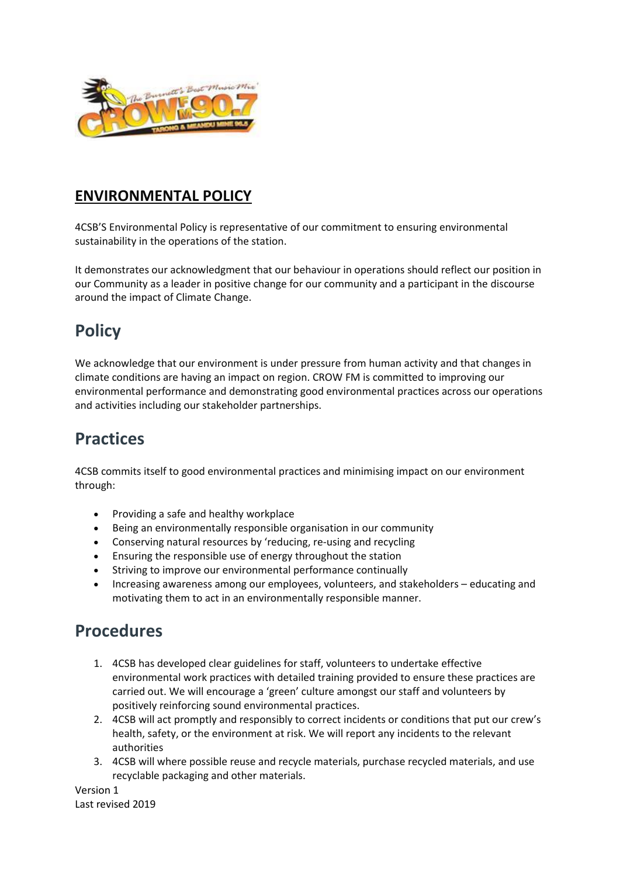

## **ENVIRONMENTAL POLICY**

4CSB'S Environmental Policy is representative of our commitment to ensuring environmental sustainability in the operations of the station.

It demonstrates our acknowledgment that our behaviour in operations should reflect our position in our Community as a leader in positive change for our community and a participant in the discourse around the impact of Climate Change.

## **Policy**

We acknowledge that our environment is under pressure from human activity and that changes in climate conditions are having an impact on region. CROW FM is committed to improving our environmental performance and demonstrating good environmental practices across our operations and activities including our stakeholder partnerships.

## **Practices**

4CSB commits itself to good environmental practices and minimising impact on our environment through:

- Providing a safe and healthy workplace
- Being an environmentally responsible organisation in our community
- Conserving natural resources by 'reducing, re-using and recycling
- Ensuring the responsible use of energy throughout the station
- Striving to improve our environmental performance continually
- Increasing awareness among our employees, volunteers, and stakeholders educating and motivating them to act in an environmentally responsible manner.

## **Procedures**

- 1. 4CSB has developed clear guidelines for staff, volunteers to undertake effective environmental work practices with detailed training provided to ensure these practices are carried out. We will encourage a 'green' culture amongst our staff and volunteers by positively reinforcing sound environmental practices.
- 2. 4CSB will act promptly and responsibly to correct incidents or conditions that put our crew's health, safety, or the environment at risk. We will report any incidents to the relevant authorities
- 3. 4CSB will where possible reuse and recycle materials, purchase recycled materials, and use recyclable packaging and other materials.

Version 1 Last revised 2019